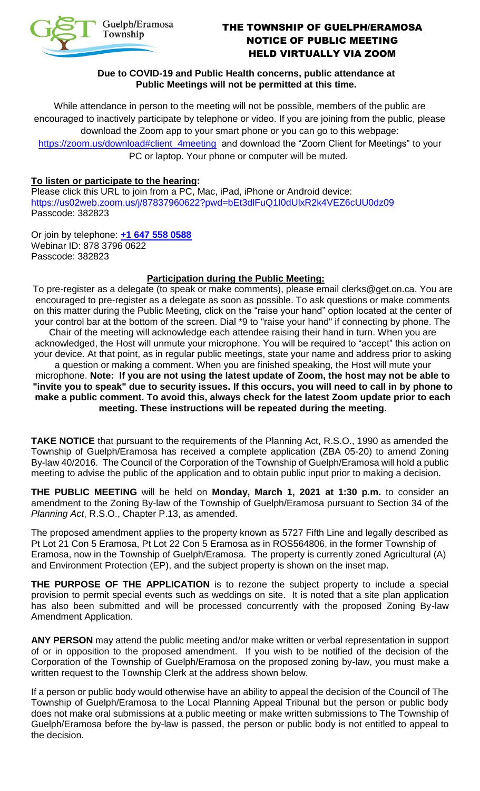

# THE TOWNSHIP OF GUELPH/ERAMOSA NOTICE OF PUBLIC MEETING HELD VIRTUALLY VIA ZOOM

### **Due to COVID-19 and Public Health concerns, public attendance at Public Meetings will not be permitted at this time.**

While attendance in person to the meeting will not be possible, members of the public are encouraged to inactively participate by telephone or video. If you are joining from the public, please download the Zoom app to your smart phone or you can go to this webpage:

[https://zoom.us/download#client\\_4meeting](https://zoom.us/download#client_4meeting) and download the "Zoom Client for Meetings" to your PC or laptop. Your phone or computer will be muted.

#### **To listen or participate to the hearing:**

Please click this URL to join from a PC, Mac, iPad, iPhone or Android device: <https://us02web.zoom.us/j/87837960622?pwd=bEt3dlFuQ1I0dUlxR2k4VEZ6cUU0dz09> Passcode: 382823

Or join by telephone: **[+1 647 558 0588](tel:+16475580588)**  Webinar ID: 878 3796 0622 Passcode: 382823

## **Participation during the Public Meeting:**

To pre-register as a delegate (to speak or make comments), please email [clerks@get.on.ca.](mailto:clerks@get.on.ca) You are encouraged to pre-register as a delegate as soon as possible. To ask questions or make comments on this matter during the Public Meeting, click on the "raise your hand" option located at the center of your control bar at the bottom of the screen. Dial \*9 to "raise your hand" if connecting by phone. The Chair of the meeting will acknowledge each attendee raising their hand in turn. When you are acknowledged, the Host will unmute your microphone. You will be required to "accept" this action on

your device. At that point, as in regular public meetings, state your name and address prior to asking a question or making a comment. When you are finished speaking, the Host will mute your

microphone. **Note: If you are not using the latest update of Zoom, the host may not be able to "invite you to speak" due to security issues. If this occurs, you will need to call in by phone to make a public comment. To avoid this, always check for the latest Zoom update prior to each meeting. These instructions will be repeated during the meeting.**

**TAKE NOTICE** that pursuant to the requirements of the Planning Act, R.S.O., 1990 as amended the Township of Guelph/Eramosa has received a complete application (ZBA 05-20) to amend Zoning By-law 40/2016. The Council of the Corporation of the Township of Guelph/Eramosa will hold a public meeting to advise the public of the application and to obtain public input prior to making a decision.

**THE PUBLIC MEETING** will be held on **Monday, March 1, 2021 at 1:30 p.m.** to consider an amendment to the Zoning By-law of the Township of Guelph/Eramosa pursuant to Section 34 of the *Planning Act*, R.S.O., Chapter P.13, as amended.

The proposed amendment applies to the property known as 5727 Fifth Line and legally described as Pt Lot 21 Con 5 Eramosa, Pt Lot 22 Con 5 Eramosa as in ROS564806, in the former Township of Eramosa, now in the Township of Guelph/Eramosa. The property is currently zoned Agricultural (A) and Environment Protection (EP), and the subject property is shown on the inset map.

**THE PURPOSE OF THE APPLICATION** is to rezone the subject property to include a special provision to permit special events such as weddings on site. It is noted that a site plan application has also been submitted and will be processed concurrently with the proposed Zoning By-law Amendment Application.

**ANY PERSON** may attend the public meeting and/or make written or verbal representation in support of or in opposition to the proposed amendment. If you wish to be notified of the decision of the Corporation of the Township of Guelph/Eramosa on the proposed zoning by-law, you must make a written request to the Township Clerk at the address shown below.

If a person or public body would otherwise have an ability to appeal the decision of the Council of The Township of Guelph/Eramosa to the Local Planning Appeal Tribunal but the person or public body does not make oral submissions at a public meeting or make written submissions to The Township of Guelph/Eramosa before the by-law is passed, the person or public body is not entitled to appeal to the decision.